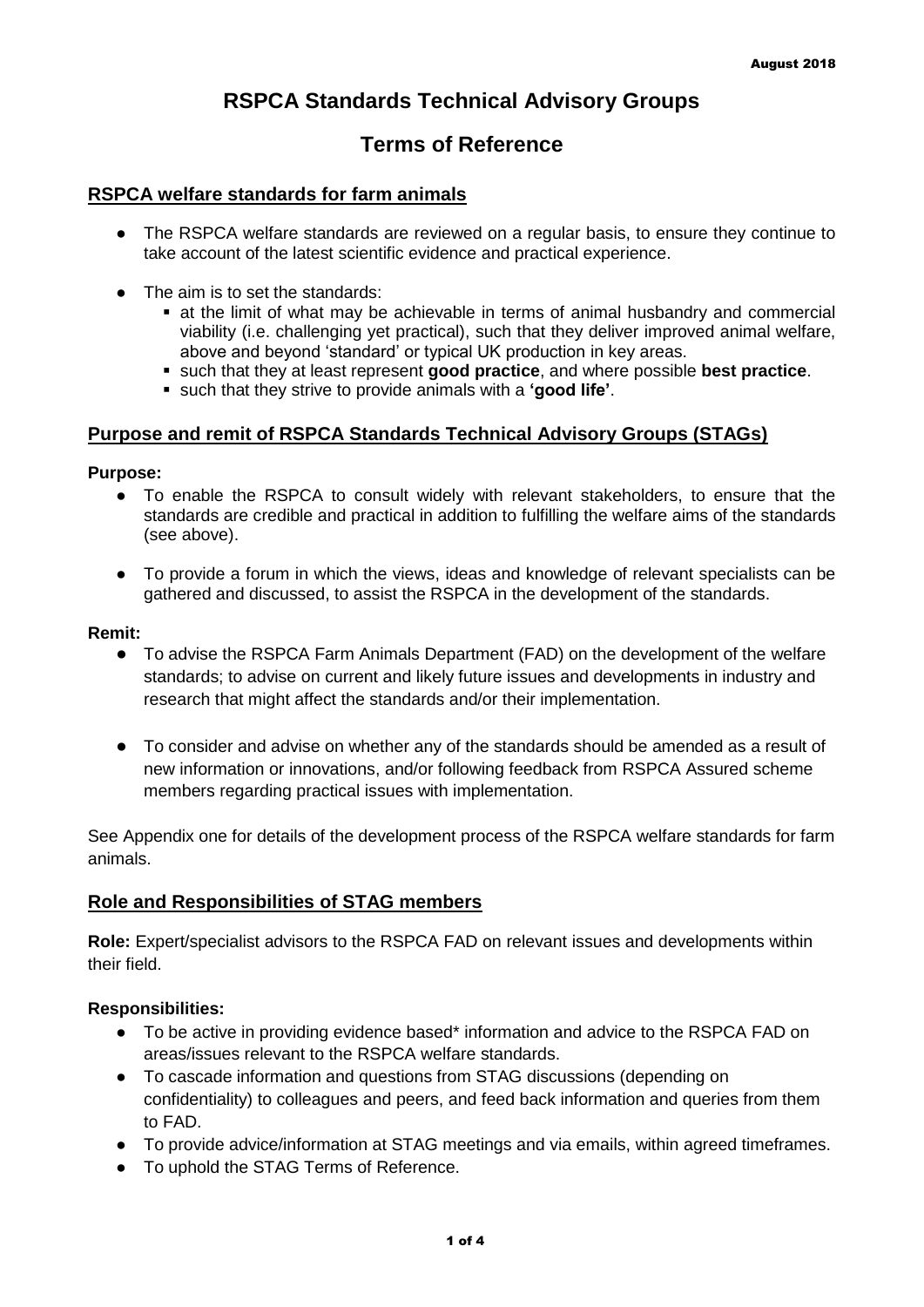# **RSPCA Standards Technical Advisory Groups**

## **Terms of Reference**

#### **RSPCA welfare standards for farm animals**

- The RSPCA welfare standards are reviewed on a regular basis, to ensure they continue to take account of the latest scientific evidence and practical experience.
- The aim is to set the standards:
	- at the limit of what may be achievable in terms of animal husbandry and commercial viability (i.e. challenging yet practical), such that they deliver improved animal welfare, above and beyond 'standard' or typical UK production in key areas.
	- such that they at least represent **good practice**, and where possible **best practice**.
	- such that they strive to provide animals with a **'good life'**.

#### **Purpose and remit of RSPCA Standards Technical Advisory Groups (STAGs)**

#### **Purpose:**

- To enable the RSPCA to consult widely with relevant stakeholders, to ensure that the standards are credible and practical in addition to fulfilling the welfare aims of the standards (see above).
- To provide a forum in which the views, ideas and knowledge of relevant specialists can be gathered and discussed, to assist the RSPCA in the development of the standards.

#### **Remit:**

- To advise the RSPCA Farm Animals Department (FAD) on the development of the welfare standards; to advise on current and likely future issues and developments in industry and research that might affect the standards and/or their implementation.
- To consider and advise on whether any of the standards should be amended as a result of new information or innovations, and/or following feedback from RSPCA Assured scheme members regarding practical issues with implementation.

See Appendix one for details of the development process of the RSPCA welfare standards for farm animals.

#### **Role and Responsibilities of STAG members**

**Role:** Expert/specialist advisors to the RSPCA FAD on relevant issues and developments within their field.

#### **Responsibilities:**

- To be active in providing evidence based\* information and advice to the RSPCA FAD on areas/issues relevant to the RSPCA welfare standards.
- To cascade information and questions from STAG discussions (depending on confidentiality) to colleagues and peers, and feed back information and queries from them to FAD.
- To provide advice/information at STAG meetings and via emails, within agreed timeframes.
- To uphold the STAG Terms of Reference.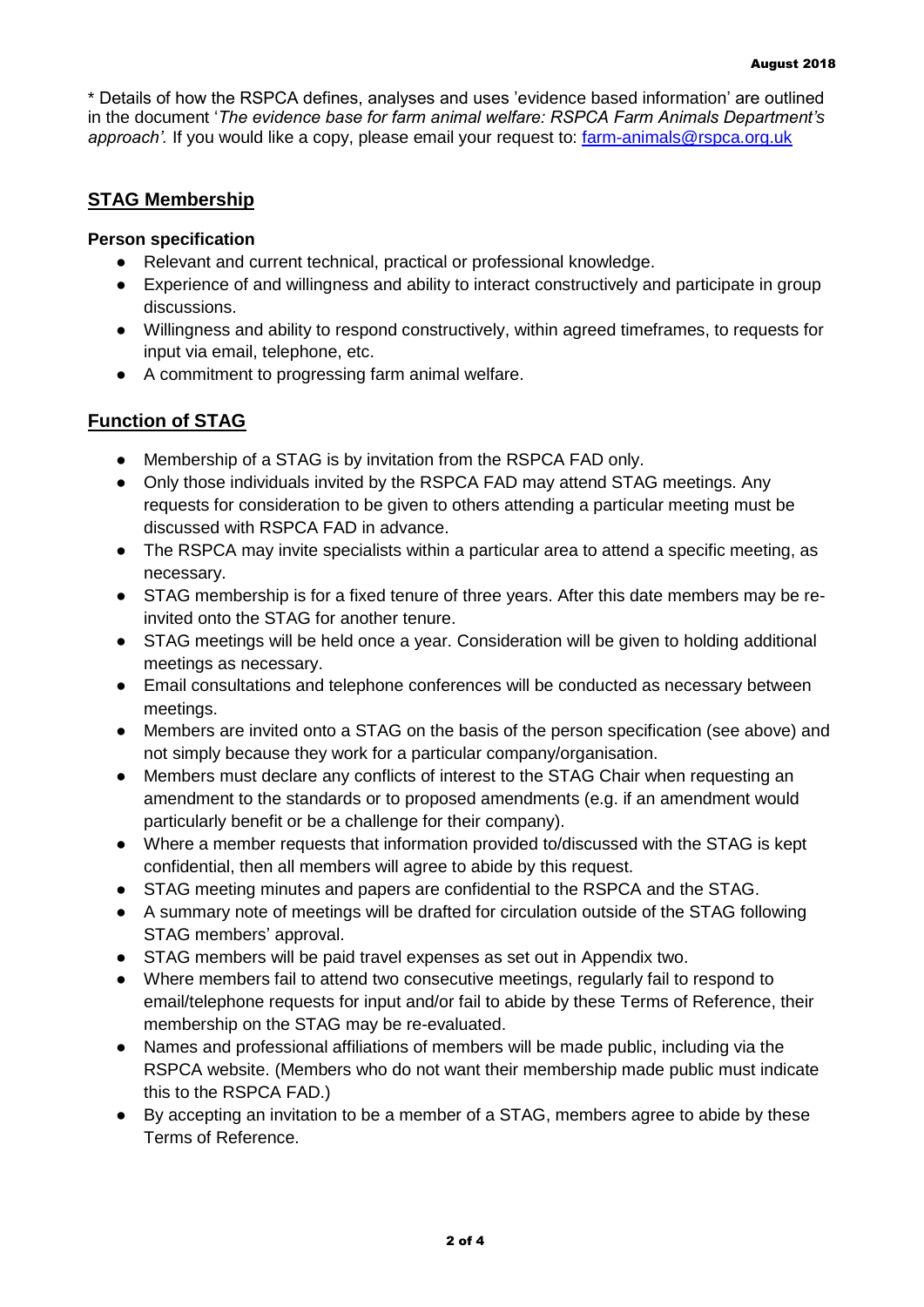\* Details of how the RSPCA defines, analyses and uses 'evidence based information' are outlined in the document '*The evidence base for farm animal welfare: RSPCA Farm Animals Department's approach'.* If you would like a copy, please email your request to: [farm-animals@rspca.org.uk](mailto:farm-animals@rspca.org.uk)

### **STAG Membership**

#### **Person specification**

- Relevant and current technical, practical or professional knowledge.
- Experience of and willingness and ability to interact constructively and participate in group discussions.
- Willingness and ability to respond constructively, within agreed timeframes, to requests for input via email, telephone, etc.
- A commitment to progressing farm animal welfare.

## **Function of STAG**

- Membership of a STAG is by invitation from the RSPCA FAD only.
- Only those individuals invited by the RSPCA FAD may attend STAG meetings. Any requests for consideration to be given to others attending a particular meeting must be discussed with RSPCA FAD in advance.
- The RSPCA may invite specialists within a particular area to attend a specific meeting, as necessary.
- STAG membership is for a fixed tenure of three years. After this date members may be reinvited onto the STAG for another tenure.
- STAG meetings will be held once a year. Consideration will be given to holding additional meetings as necessary.
- Email consultations and telephone conferences will be conducted as necessary between meetings.
- Members are invited onto a STAG on the basis of the person specification (see above) and not simply because they work for a particular company/organisation.
- Members must declare any conflicts of interest to the STAG Chair when requesting an amendment to the standards or to proposed amendments (e.g. if an amendment would particularly benefit or be a challenge for their company).
- Where a member requests that information provided to/discussed with the STAG is kept confidential, then all members will agree to abide by this request.
- STAG meeting minutes and papers are confidential to the RSPCA and the STAG.
- A summary note of meetings will be drafted for circulation outside of the STAG following STAG members' approval.
- STAG members will be paid travel expenses as set out in Appendix two.
- Where members fail to attend two consecutive meetings, regularly fail to respond to email/telephone requests for input and/or fail to abide by these Terms of Reference, their membership on the STAG may be re-evaluated.
- Names and professional affiliations of members will be made public, including via the RSPCA website. (Members who do not want their membership made public must indicate this to the RSPCA FAD.)
- By accepting an invitation to be a member of a STAG, members agree to abide by these Terms of Reference.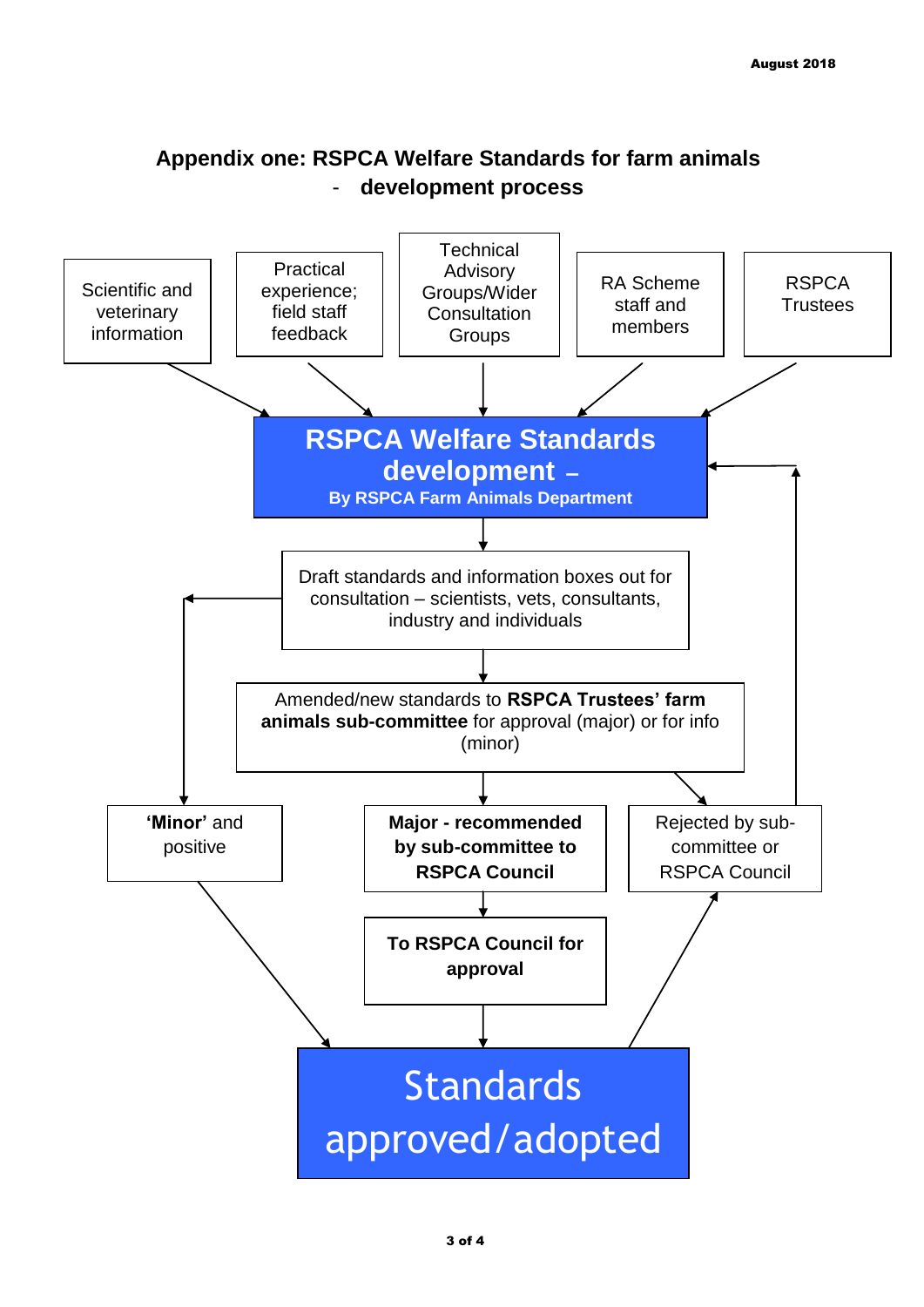

# **Appendix one: RSPCA Welfare Standards for farm animals**